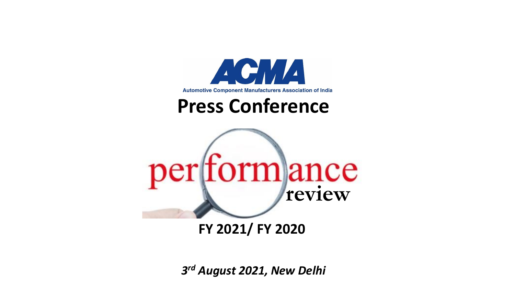

*3 rd August 2021, New Delhi*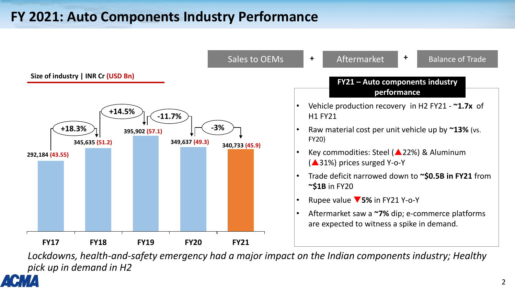# **FY 2021: Auto Components Industry Performance**



*Lockdowns, health-and-safety emergency had a major impact on the Indian components industry; Healthy pick up in demand in H2*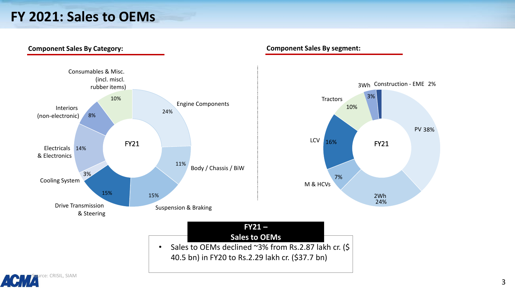# **FY 2021: Sales to OEMs**

**Component Sales By Category:**



**Component Sales By segment:**

38% PV

24%

2Wh

FY21

3%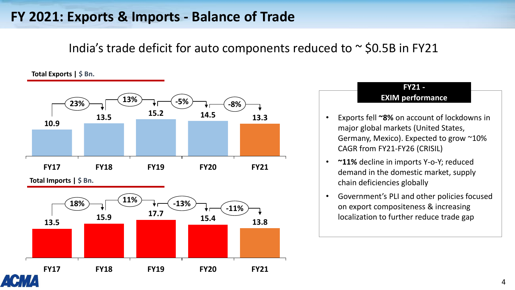# **FY 2021: Exports & Imports - Balance of Trade**

India's trade deficit for auto components reduced to  $\sim$  \$0.5B in FY21

**Total Exports | \$ Bn.**



**Total Imports | \$ Bn.**





**FY21 -**

• Government's PLI and other policies focused on export compositeness & increasing localization to further reduce trade gap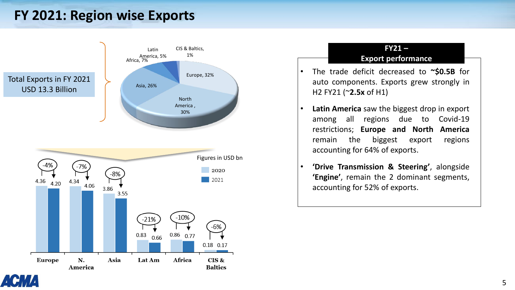# **FY 2021: Region wise Exports**





- **Latin America** saw the biggest drop in export among all regions due to Covid-19 restrictions; **Europe and North America** remain the biggest export regions accounting for 64% of exports.
- **'Drive Transmission & Steering'**, alongside **'Engine'**, remain the 2 dominant segments, accounting for 52% of exports.

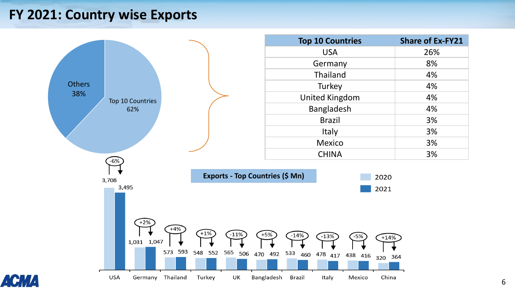## **FY 2021: Country wise Exports**





2020

2021

 $+14%$ 

China

364

320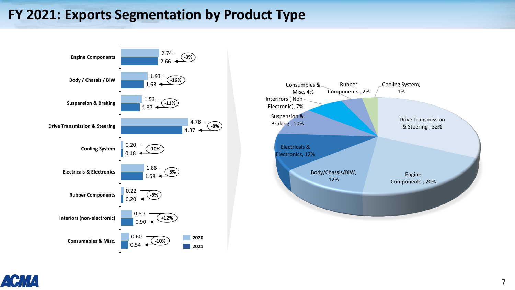# **FY 2021: Exports Segmentation by Product Type**





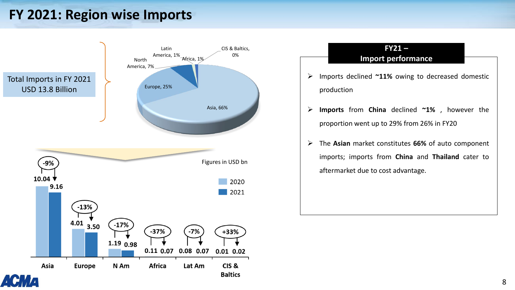# **FY 2021: Region wise Imports**



### **FY21 – Import performance**

- ➢ Imports declined **~11%** owing to decreased domestic production
- ➢ **Imports** from **China** declined **~1%** , however the proportion went up to 29% from 26% in FY20
- ➢ The **Asian** market constitutes **66%** of auto component imports; imports from **China** and **Thailand** cater to aftermarket due to cost advantage.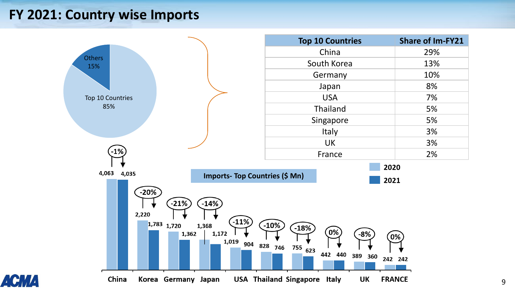## **FY 2021: Country wise Imports**

A

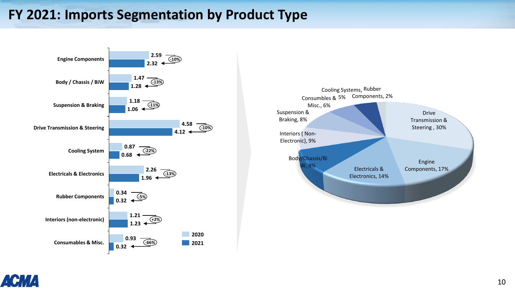# **FY 2021: Imports Segmentation by Product Type**





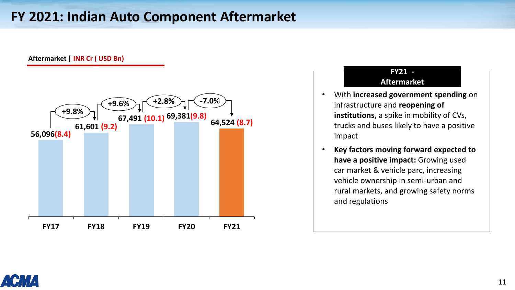# **FY 2021: Indian Auto Component Aftermarket**

#### **Aftermarket | INR Cr ( USD Bn)**



#### **FY21 - Aftermarket**

- With **increased government spending** on infrastructure and **reopening of institutions,** a spike in mobility of CVs, trucks and buses likely to have a positive impact
- **Key factors moving forward expected to have a positive impact:** Growing used car market & vehicle parc, increasing vehicle ownership in semi-urban and rural markets, and growing safety norms and regulations

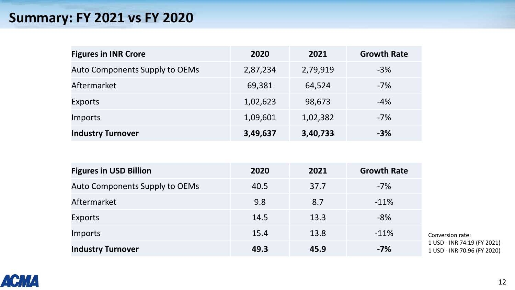# **Summary: FY 2021 vs FY 2020**

| <b>Figures in INR Crore</b>           | 2020     | 2021     | <b>Growth Rate</b> |
|---------------------------------------|----------|----------|--------------------|
| <b>Auto Components Supply to OEMs</b> | 2,87,234 | 2,79,919 | $-3%$              |
| Aftermarket                           | 69,381   | 64,524   | $-7\%$             |
| Exports                               | 1,02,623 | 98,673   | $-4\%$             |
| Imports                               | 1,09,601 | 1,02,382 | $-7\%$             |
| <b>Industry Turnover</b>              | 3,49,637 | 3,40,733 | $-3%$              |

| <b>Figures in USD Billion</b>  | 2020 | 2021 | <b>Growth Rate</b> |                                    |
|--------------------------------|------|------|--------------------|------------------------------------|
| Auto Components Supply to OEMs | 40.5 | 37.7 | $-7%$              |                                    |
| Aftermarket                    | 9.8  | 8.7  | $-11%$             |                                    |
| <b>Exports</b>                 | 14.5 | 13.3 | $-8%$              |                                    |
| Imports                        | 15.4 | 13.8 | $-11%$             | Con                                |
| <b>Industry Turnover</b>       | 49.3 | 45.9 | $-7%$              | 1 <sup>US</sup><br>1 <sup>US</sup> |

version rate: 5D - INR 74.19 (FY 2021) 5D - INR 70.96 (FY 2020)

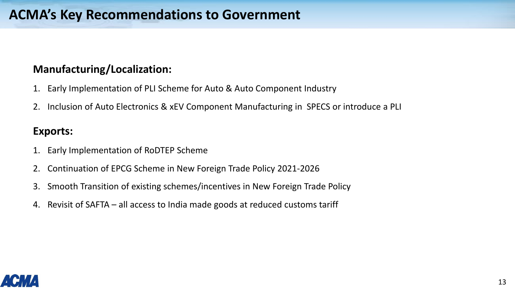## **Manufacturing/Localization:**

- 1. Early Implementation of PLI Scheme for Auto & Auto Component Industry
- 2. Inclusion of Auto Electronics & xEV Component Manufacturing in SPECS or introduce a PLI

### **Exports:**

- 1. Early Implementation of RoDTEP Scheme
- 2. Continuation of EPCG Scheme in New Foreign Trade Policy 2021-2026
- 3. Smooth Transition of existing schemes/incentives in New Foreign Trade Policy
- 4. Revisit of SAFTA all access to India made goods at reduced customs tariff

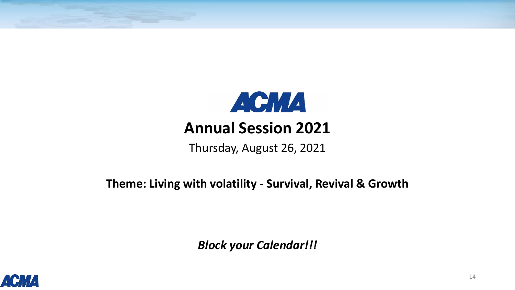

Thursday, August 26, 2021

**Theme: Living with volatility - Survival, Revival & Growth**

*Block your Calendar!!!*